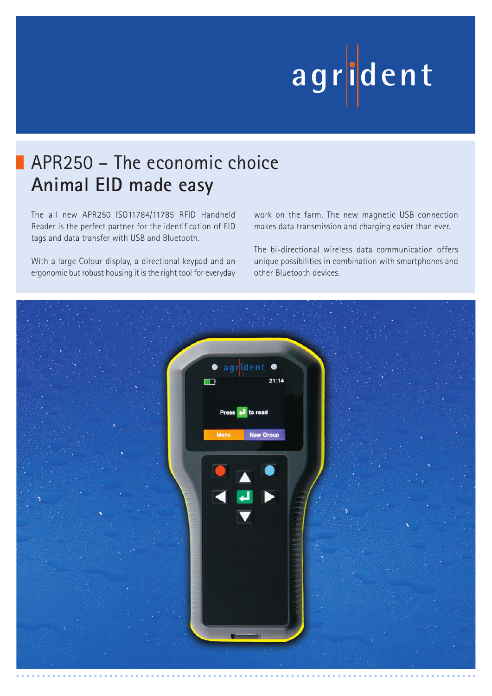# **ag r iden t**

## APR250 – The economic choice **Animal EID made easy**

The all new APR250 ISO11784/11785 RFID Handheld Reader is the perfect partner for the identification of EID tags and data transfer with USB and Bluetooth.

With a large Colour display, a directional keypad and an ergonomic but robust housing it is the right tool for everyday work on the farm. The new magnetic USB connection makes data transmission and charging easier than ever.

The bi-directional wireless data communication offers unique possibilities in combination with smartphones and other Bluetooth devices.